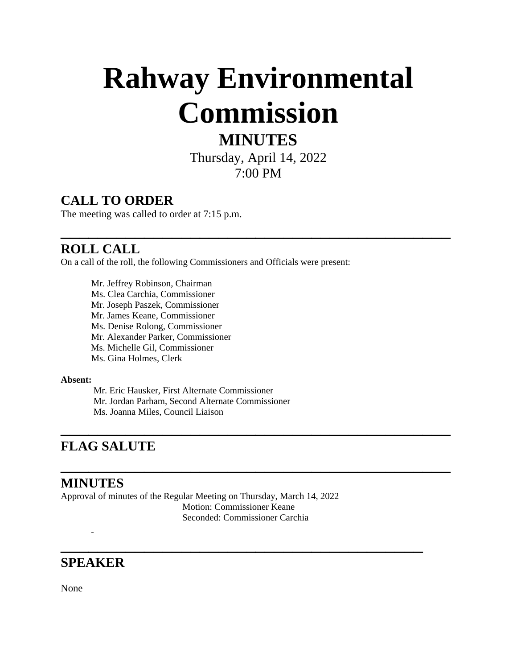# **Rahway Environmental Commission**

# **MINUTES**

Thursday, April 14, 2022 7:00 PM

**\_\_\_\_\_\_\_\_\_\_\_\_\_\_\_\_\_\_\_\_\_\_\_\_\_\_\_\_\_\_\_\_\_\_\_\_\_\_\_\_\_\_**

**\_\_\_\_\_\_\_\_\_\_\_\_\_\_\_\_\_\_\_\_\_\_\_\_\_\_\_\_\_\_\_\_\_\_\_\_\_\_\_\_\_\_**

**\_\_\_\_\_\_\_\_\_\_\_\_\_\_\_\_\_\_\_\_\_\_\_\_\_\_\_\_\_\_\_\_\_\_\_\_\_\_\_\_\_\_**

**\_\_\_\_\_\_\_\_\_\_\_\_\_\_\_\_\_\_\_\_\_\_\_\_\_\_\_\_\_\_\_\_\_\_\_\_\_\_\_**

### **CALL TO ORDER**

The meeting was called to order at 7:15 p.m.

#### **ROLL CALL**

On a call of the roll, the following Commissioners and Officials were present:

Mr. Jeffrey Robinson, Chairman Ms. Clea Carchia, Commissioner Mr. Joseph Paszek, Commissioner Mr. James Keane, Commissioner Ms. Denise Rolong, Commissioner Mr. Alexander Parker, Commissioner Ms. Michelle Gil, Commissioner Ms. Gina Holmes, Clerk

#### **Absent:**

 Mr. Eric Hausker, First Alternate Commissioner Mr. Jordan Parham, Second Alternate Commissioner Ms. Joanna Miles, Council Liaison

#### **FLAG SALUTE**

#### **MINUTES**

Approval of minutes of the Regular Meeting on Thursday, March 14, 2022 Motion: Commissioner Keane Seconded: Commissioner Carchia

#### **SPEAKER**

L,

None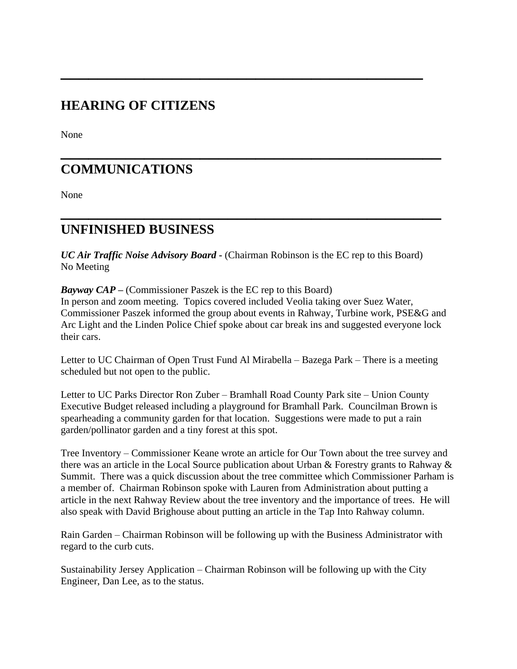### **HEARING OF CITIZENS**

None

# **\_\_\_\_\_\_\_\_\_\_\_\_\_\_\_\_\_\_\_\_\_\_\_\_\_\_\_\_\_\_\_\_\_\_\_\_\_\_\_\_\_ COMMUNICATIONS**

None

#### **UNFINISHED BUSINESS**

*UC Air Traffic Noise Advisory Board* **-** (Chairman Robinson is the EC rep to this Board) No Meeting

**\_\_\_\_\_\_\_\_\_\_\_\_\_\_\_\_\_\_\_\_\_\_\_\_\_\_\_\_\_\_\_\_\_\_\_\_\_\_\_\_\_**

**\_\_\_\_\_\_\_\_\_\_\_\_\_\_\_\_\_\_\_\_\_\_\_\_\_\_\_\_\_\_\_\_\_\_\_\_\_\_\_**

*Bayway CAP* **–** (Commissioner Paszek is the EC rep to this Board) In person and zoom meeting. Topics covered included Veolia taking over Suez Water, Commissioner Paszek informed the group about events in Rahway, Turbine work, PSE&G and Arc Light and the Linden Police Chief spoke about car break ins and suggested everyone lock their cars.

Letter to UC Chairman of Open Trust Fund Al Mirabella – Bazega Park – There is a meeting scheduled but not open to the public.

Letter to UC Parks Director Ron Zuber – Bramhall Road County Park site – Union County Executive Budget released including a playground for Bramhall Park. Councilman Brown is spearheading a community garden for that location. Suggestions were made to put a rain garden/pollinator garden and a tiny forest at this spot.

Tree Inventory – Commissioner Keane wrote an article for Our Town about the tree survey and there was an article in the Local Source publication about Urban & Forestry grants to Rahway & Summit. There was a quick discussion about the tree committee which Commissioner Parham is a member of. Chairman Robinson spoke with Lauren from Administration about putting a article in the next Rahway Review about the tree inventory and the importance of trees. He will also speak with David Brighouse about putting an article in the Tap Into Rahway column.

Rain Garden – Chairman Robinson will be following up with the Business Administrator with regard to the curb cuts.

Sustainability Jersey Application – Chairman Robinson will be following up with the City Engineer, Dan Lee, as to the status.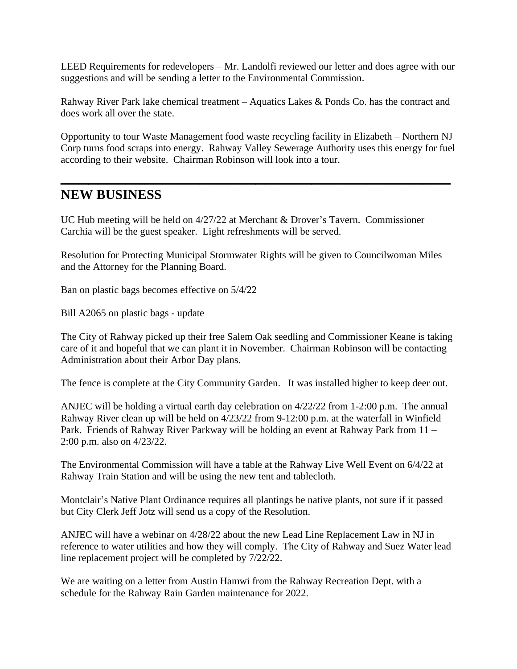LEED Requirements for redevelopers – Mr. Landolfi reviewed our letter and does agree with our suggestions and will be sending a letter to the Environmental Commission.

Rahway River Park lake chemical treatment – Aquatics Lakes & Ponds Co. has the contract and does work all over the state.

Opportunity to tour Waste Management food waste recycling facility in Elizabeth – Northern NJ Corp turns food scraps into energy. Rahway Valley Sewerage Authority uses this energy for fuel according to their website. Chairman Robinson will look into a tour.

**\_\_\_\_\_\_\_\_\_\_\_\_\_\_\_\_\_\_\_\_\_\_\_\_\_\_\_\_\_\_\_\_\_\_\_\_\_\_\_\_\_\_**

#### **NEW BUSINESS**

UC Hub meeting will be held on 4/27/22 at Merchant & Drover's Tavern. Commissioner Carchia will be the guest speaker. Light refreshments will be served.

Resolution for Protecting Municipal Stormwater Rights will be given to Councilwoman Miles and the Attorney for the Planning Board.

Ban on plastic bags becomes effective on 5/4/22

Bill A2065 on plastic bags - update

The City of Rahway picked up their free Salem Oak seedling and Commissioner Keane is taking care of it and hopeful that we can plant it in November. Chairman Robinson will be contacting Administration about their Arbor Day plans.

The fence is complete at the City Community Garden. It was installed higher to keep deer out.

ANJEC will be holding a virtual earth day celebration on 4/22/22 from 1-2:00 p.m. The annual Rahway River clean up will be held on 4/23/22 from 9-12:00 p.m. at the waterfall in Winfield Park. Friends of Rahway River Parkway will be holding an event at Rahway Park from 11 – 2:00 p.m. also on 4/23/22.

The Environmental Commission will have a table at the Rahway Live Well Event on 6/4/22 at Rahway Train Station and will be using the new tent and tablecloth.

Montclair's Native Plant Ordinance requires all plantings be native plants, not sure if it passed but City Clerk Jeff Jotz will send us a copy of the Resolution.

ANJEC will have a webinar on 4/28/22 about the new Lead Line Replacement Law in NJ in reference to water utilities and how they will comply. The City of Rahway and Suez Water lead line replacement project will be completed by 7/22/22.

We are waiting on a letter from Austin Hamwi from the Rahway Recreation Dept. with a schedule for the Rahway Rain Garden maintenance for 2022.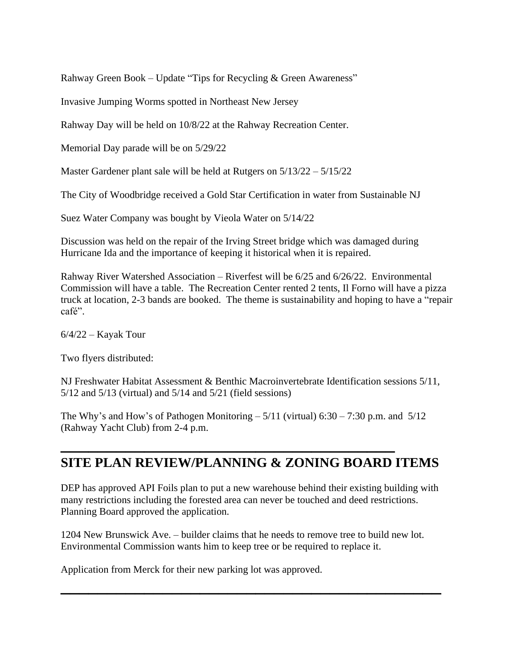Rahway Green Book – Update "Tips for Recycling & Green Awareness"

Invasive Jumping Worms spotted in Northeast New Jersey

Rahway Day will be held on 10/8/22 at the Rahway Recreation Center.

Memorial Day parade will be on 5/29/22

Master Gardener plant sale will be held at Rutgers on 5/13/22 – 5/15/22

The City of Woodbridge received a Gold Star Certification in water from Sustainable NJ

Suez Water Company was bought by Vieola Water on 5/14/22

Discussion was held on the repair of the Irving Street bridge which was damaged during Hurricane Ida and the importance of keeping it historical when it is repaired.

Rahway River Watershed Association – Riverfest will be 6/25 and 6/26/22. Environmental Commission will have a table. The Recreation Center rented 2 tents, Il Forno will have a pizza truck at location, 2-3 bands are booked. The theme is sustainability and hoping to have a "repair café".

 $6/4/22$  – Kayak Tour

Two flyers distributed:

NJ Freshwater Habitat Assessment & Benthic Macroinvertebrate Identification sessions 5/11, 5/12 and 5/13 (virtual) and 5/14 and 5/21 (field sessions)

The Why's and How's of Pathogen Monitoring  $-5/11$  (virtual) 6:30 – 7:30 p.m. and  $5/12$ (Rahway Yacht Club) from 2-4 p.m.

**\_\_\_\_\_\_\_\_\_\_\_\_\_\_\_\_\_\_\_\_\_\_\_\_\_\_\_\_\_\_\_\_\_\_\_\_**

# **SITE PLAN REVIEW/PLANNING & ZONING BOARD ITEMS**

DEP has approved API Foils plan to put a new warehouse behind their existing building with many restrictions including the forested area can never be touched and deed restrictions. Planning Board approved the application.

1204 New Brunswick Ave. – builder claims that he needs to remove tree to build new lot. Environmental Commission wants him to keep tree or be required to replace it.

**\_\_\_\_\_\_\_\_\_\_\_\_\_\_\_\_\_\_\_\_\_\_\_\_\_\_\_\_\_\_\_\_\_\_\_\_\_\_\_\_\_**

Application from Merck for their new parking lot was approved.